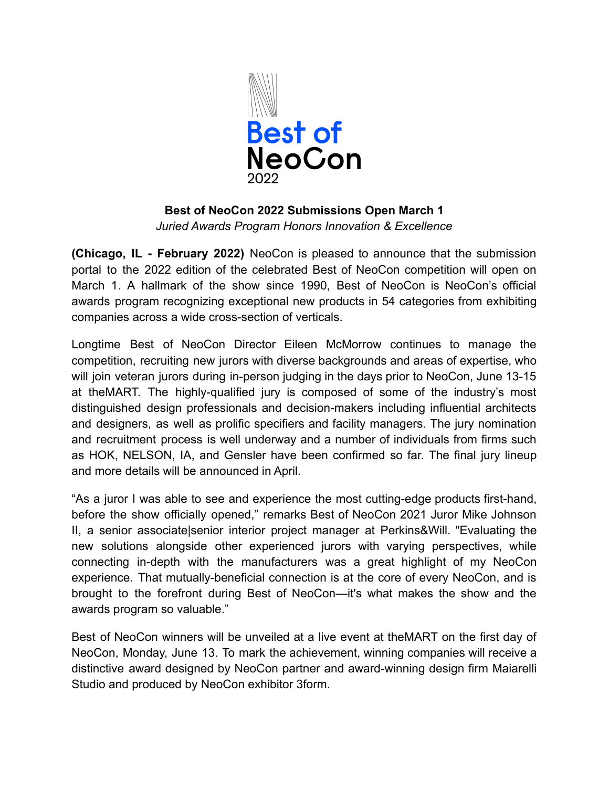

## **Best of NeoCon 2022 Submissions Open March 1** *Juried Awards Program Honors Innovation & Excellence*

**(Chicago, IL - February 2022)** NeoCon is pleased to announce that the submission portal to the 2022 edition of the celebrated Best of NeoCon competition will open on March 1. A hallmark of the show since 1990, Best of NeoCon is NeoCon's official awards program recognizing exceptional new products in 54 categories from exhibiting companies across a wide cross-section of verticals.

Longtime Best of NeoCon Director Eileen McMorrow continues to manage the competition, recruiting new jurors with diverse backgrounds and areas of expertise, who will join veteran jurors during in-person judging in the days prior to NeoCon, June 13-15 at theMART. The highly-qualified jury is composed of some of the industry's most distinguished design professionals and decision-makers including influential architects and designers, as well as prolific specifiers and facility managers. The jury nomination and recruitment process is well underway and a number of individuals from firms such as HOK, NELSON, IA, and Gensler have been confirmed so far. The final jury lineup and more details will be announced in April.

"As a juror I was able to see and experience the most cutting-edge products first-hand, before the show officially opened," remarks Best of NeoCon 2021 Juror Mike Johnson II, a senior associate|senior interior project manager at Perkins&Will. "Evaluating the new solutions alongside other experienced jurors with varying perspectives, while connecting in-depth with the manufacturers was a great highlight of my NeoCon experience. That mutually-beneficial connection is at the core of every NeoCon, and is brought to the forefront during Best of NeoCon—it's what makes the show and the awards program so valuable."

Best of NeoCon winners will be unveiled at a live event at theMART on the first day of NeoCon, Monday, June 13. To mark the achievement, winning companies will receive a distinctive award designed by NeoCon partner and award-winning design firm Maiarelli Studio and produced by NeoCon exhibitor 3form.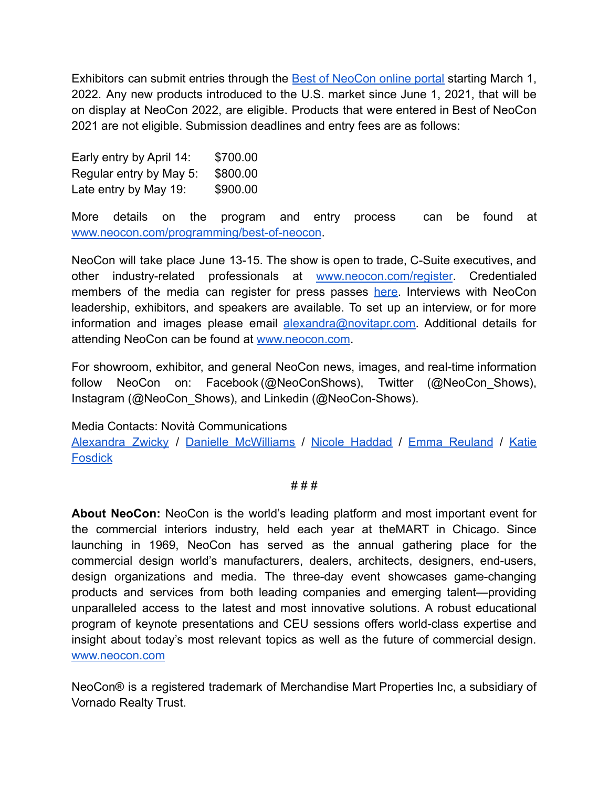Exhibitors can submit entries through the Best of [NeoCon](https://bestofneocon.secure-platform.com/a) online portal starting March 1, 2022. Any new products introduced to the U.S. market since June 1, 2021, that will be on display at NeoCon 2022, are eligible. Products that were entered in Best of NeoCon 2021 are not eligible. Submission deadlines and entry fees are as follows:

Early entry by April 14: \$700.00 Regular entry by May 5: \$800.00 Late entry by May  $19:$  \$900.00

More details on the program and entry process can be found at [www.neocon.com/programming/best-of-neocon](http://www.neocon.com/programming/best-of-neocon).

NeoCon will take place June 13-15. The show is open to trade, C-Suite executives, and other industry-related professionals at [www.neocon.com/register](http://www.neocon.com/register). Credentialed members of the media can register for press passes [here](https://xpressreg.net/register/neoc0622/attendee/lookup.asp?sh=PR). Interviews with NeoCon leadership, exhibitors, and speakers are available. To set up an interview, or for more information and images please email [alexandra@novitapr.com.](mailto:alexandra@novitapr.com) Additional details for attending NeoCon can be found at [www.neocon.com](http://www.neocon.com).

For showroom, exhibitor, and general NeoCon news, images, and real-time information follow NeoCon on: Facebook (@NeoConShows), Twitter (@NeoCon Shows), Instagram (@NeoCon\_Shows), and Linkedin (@NeoCon-Shows).

Media Contacts: Novità Communications

[Alexandra](mailto:alexandra@novitapr.com) Zwicky / Danielle [McWilliams](mailto:danielle@novitapr.com) / Nicole [Haddad](mailto:nic@novitapr.com) / Emma [Reuland](mailto:emma@novitapr.com) / [Katie](mailto:katiefosdick@novitapr.com) **[Fosdick](mailto:katiefosdick@novitapr.com)** 

# # #

**About NeoCon:** NeoCon is the world's leading platform and most important event for the commercial interiors industry, held each year at theMART in Chicago. Since launching in 1969, NeoCon has served as the annual gathering place for the commercial design world's manufacturers, dealers, architects, designers, end-users, design organizations and media. The three-day event showcases game-changing products and services from both leading companies and emerging talent—providing unparalleled access to the latest and most innovative solutions. A robust educational program of keynote presentations and CEU sessions offers world-class expertise and insight about today's most relevant topics as well as the future of commercial design[.](https://novitapr.us19.list-manage.com/track/click?u=f2437c341c2d477889d2e3931&id=009ec41c49&e=cda661e2e2) [www.neocon.com](http://www.neocon.com)

NeoCon® is a registered trademark of Merchandise Mart Properties Inc, a subsidiary of Vornado Realty Trust.